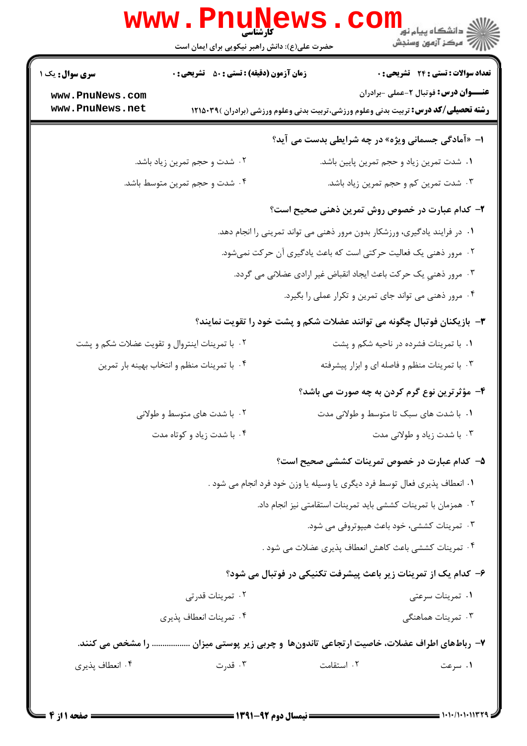|                        | <b>WWW . PILLIN</b><br>کا, شناسی<br>حضرت علی(ع): دانش راهبر نیکویی برای ایمان است | ڪ دانشڪاه پيا <sub>م</sub> نور<br><mark>√</mark> مرڪز آزمون وسنڊش                           |  |
|------------------------|-----------------------------------------------------------------------------------|---------------------------------------------------------------------------------------------|--|
| <b>سری سوال :</b> یک ۱ | <b>زمان آزمون (دقیقه) : تستی : 50 ٪ تشریحی : 0</b>                                | <b>تعداد سوالات : تستی : 24 گشریحی : 0</b>                                                  |  |
| www.PnuNews.com        |                                                                                   | <b>عنــــوان درس:</b> فوتبال ۲-عملی -برادران                                                |  |
| www.PnuNews.net        |                                                                                   | <b>رشته تحصیلی/کد درس:</b> تربیت بدنی وعلوم ورزشی،تربیت بدنی وعلوم ورزشی (برادران )۳۹۵۰۲۹ ا |  |
|                        |                                                                                   | ا- «آمادگی جسمانی ویژه» در چه شرایطی بدست می آید؟                                           |  |
|                        | ۰۲ شدت و حجم تمرین زیاد باشد.                                                     | ۰ <mark>۱</mark> شدت تمرین زیاد و حجم تمرین پایین باشد.                                     |  |
|                        | ۰۴ شدت و حجم تمرین متوسط باشد.                                                    | ۰۳ شدت تمرین کم و حجم تمرین زیاد باشد.                                                      |  |
|                        |                                                                                   | <b>۲</b> – کدام عبارت در خصوص روش تمرین ذهنی صحیح است؟                                      |  |
|                        |                                                                                   | ۰۱ در فرایند یادگیری، ورزشکار بدون مرور ذهنی می تواند تمرینی را انجام دهد.                  |  |
|                        |                                                                                   | ۰۲ مرور ذهنی یک فعالیت حرکتی است که باعث یادگیری آن حرکت نمیشود.                            |  |
|                        |                                                                                   | ۰۳ مرور ذهني يک حرکت باعث ايجاد انقباض غير ارادي عضلاني مي گردد.                            |  |
|                        |                                                                                   | ۰۴ مرور ذهنی می تواند جای تمرین و تکرار عملی را بگیرد.                                      |  |
|                        | <b>۳</b> - بازیکنان فوتبال چگونه می توانند عضلات شکم و پشت خود را تقویت نمایند؟   |                                                                                             |  |
|                        | ۰۲ با تمرینات اینتروال و تقویت عضلات شکم و پشت                                    | ۰۱ با تمرینات فشرده در ناحیه شکم و پشت                                                      |  |
|                        | ۰۴ با تمرینات منظم و انتخاب بهینه بار تمرین                                       | ۰۳ با تمرینات منظم و فاصله ای و ابزار پیشرفته                                               |  |
|                        |                                                                                   | ۴- مؤثرترین نوع گرم کردن به چه صورت می باشد؟                                                |  |
|                        | ۰۲ با شدت های متوسط و طولانی                                                      | ۰۱ با شدت های سبک تا متوسط و طولانی مدت                                                     |  |
|                        | ۰۴ با شدت زیاد و کوتاه مدت                                                        | ۰۳ با شدت زیاد و طولانی مدت                                                                 |  |
|                        |                                                                                   | ۵– کدام عبارت در خصوص تمرینات کششی صحیح است؟                                                |  |
|                        |                                                                                   | ١. انعطاف پذيري فعال توسط فرد ديگري يا وسيله يا وزن خود فرد انجام مي شود .                  |  |
|                        |                                                                                   | ٠٢ همزمان با تمرينات كششى بايد تمرينات استقامتى نيز انجام داد.                              |  |
|                        |                                                                                   | ۰۳ تمرینات کششی، خود باعث هیپوتروفی می شود.                                                 |  |
|                        |                                                                                   | ۰۴ تمرینات کششی باعث کاهش انعطاف پذیری عضلات می شود .                                       |  |
|                        |                                                                                   | ۶- کدام یک از تمرینات زیر باعث پیشرفت تکنیکی در فوتبال می شود؟                              |  |
|                        | ۰۲ تمرینات قدرتی                                                                  | ۰۱ تمرینات سرعتی                                                                            |  |
|                        | ۰۴ تمرينات انعطاف پذيري                                                           | ۰۳ تمرینات هماهنگی                                                                          |  |
|                        |                                                                                   | ۷– رباطهای اطراف عضلات، خاصیت ارتجاعی تاندونها و چربی زیر پوستی میزان  را مشخص می کنند.     |  |
| ۰۴ انعطاف پذیری        | ۰۳ قدرت                                                                           | ٠٢ استقامت<br>۰۱ سرعت                                                                       |  |
|                        |                                                                                   |                                                                                             |  |

 $Dm11NQ17C$ 

17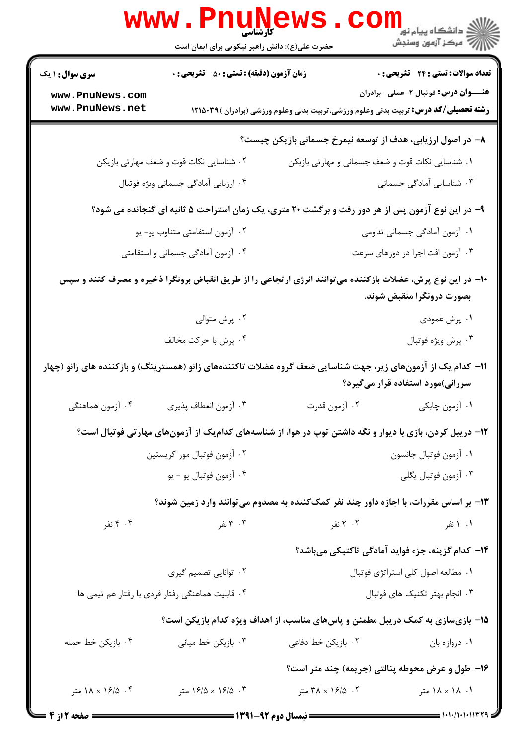|                                                                                                                                          | <b>www.PnuNews</b><br>حضرت علی(ع): دانش راهبر نیکویی برای ایمان است                                          |                                                                                             | الاد دانشگاه پيام نور<br>الا دانشگاه پيام نور<br>الا |  |
|------------------------------------------------------------------------------------------------------------------------------------------|--------------------------------------------------------------------------------------------------------------|---------------------------------------------------------------------------------------------|------------------------------------------------------|--|
| <b>سری سوال : ۱ یک</b>                                                                                                                   | زمان آزمون (دقیقه) : تستی : 50 ٪ تشریحی : 0                                                                  |                                                                                             | <b>تعداد سوالات : تستی : 24 گشریحی : 0</b>           |  |
| www.PnuNews.com<br>www.PnuNews.net                                                                                                       |                                                                                                              | <b>رشته تحصیلی/کد درس:</b> تربیت بدنی وعلوم ورزشی،تربیت بدنی وعلوم ورزشی (برادران )۳۹۵۰۳۹ ( | <b>عنــــوان درس:</b> فوتبال ۲-عملی -برادران         |  |
|                                                                                                                                          |                                                                                                              | ٨− در اصول ارزیابی، هدف از توسعه نیمرخ جسمانی بازیکن چیست؟                                  |                                                      |  |
|                                                                                                                                          | ۰۲ شناسایی نکات قوت و ضعف مهارتی بازیکن                                                                      | ۰۱ شناسایی نکات قوت و ضعف جسمانی و مهارتی بازیکن                                            |                                                      |  |
|                                                                                                                                          | ۰۴ ارزیابی آمادگی جسمانی ویژه فوتبال                                                                         |                                                                                             | ۰۳ شناسایی آمادگی جسمانی                             |  |
| ۹- در این نوع آزمون پس از هر دور رفت و برگشت ۲۰ متری، یک زمان استراحت ۵ ثانیه ای گنجانده می شود؟                                         |                                                                                                              |                                                                                             |                                                      |  |
|                                                                                                                                          | ۰۲ آزمون استفامتی متناوب یو- یو                                                                              |                                                                                             | ۰۱ آزمون آمادگی جسمانی تداومی                        |  |
|                                                                                                                                          | ۰۴ آزمون آمادگی جسمانی و استقامتی                                                                            |                                                                                             | ۰۳ آزمون افت اجرا در دورهای سرعت                     |  |
| +ا– در این نوع پرش، عضلات بازکننده میتوانند انرژی ارتجاعی را از طریق انقباض برونگرا ذخیره و مصرف کنند و سپس<br>بصورت درونگرا منقبض شوند. |                                                                                                              |                                                                                             |                                                      |  |
|                                                                                                                                          | ۰۲ پرش متوالی                                                                                                |                                                                                             | ۰۱ پرش عمودی                                         |  |
|                                                                                                                                          | ۰۴ پرش با حرکت مخالف                                                                                         |                                                                                             | ۰۳ پرش ویژه فوتبال                                   |  |
|                                                                                                                                          | 11– کدام یک از آزمونهای زیر، جهت شناسایی ضعف گروه عضلات تاکنندههای زانو (همسترینگ) و بازکننده های زانو (چهار |                                                                                             | سررانی)مورد استفاده قرار میگیرد؟                     |  |
| ۰۴ آزمون هماهنگی                                                                                                                         | ۰۳ آزمون انعطاف پذیری                                                                                        |                                                                                             |                                                      |  |
|                                                                                                                                          | ۱۲- دریبل کردن، بازی با دیوار و نگه داشتن توپ در هوا، از شناسههای کدامیک از آزمونهای مهارتی فوتبال است؟      |                                                                                             |                                                      |  |
|                                                                                                                                          | ۰۲ آزمون فوتبال مور کریستین                                                                                  |                                                                                             | ٠١ آزمون فوتبال جانسون                               |  |
|                                                                                                                                          | ۰۴ آزمون فوتبال يو - يو                                                                                      |                                                                                             | ۰۳ آزمون فوتبال يگلي                                 |  |
|                                                                                                                                          |                                                                                                              | ۱۳- بر اساس مقررات، با اجازه داور چند نفر کمککننده به مصدوم میتوانند وارد زمین شوند؟        |                                                      |  |
| ۰۴ تفر                                                                                                                                   | ۰۳ تفر                                                                                                       | ۰۲ تفر                                                                                      | ۰۱ ۱ نفر                                             |  |
|                                                                                                                                          |                                                                                                              |                                                                                             | ۱۴− کدام گزینه، جزء فواید آمادگی تاکتیکی میباشد؟     |  |
|                                                                                                                                          | ۰۲ توانایی تصمیم گیری                                                                                        |                                                                                             | ۰۱ مطالعه اصول کلی استراتژی فوتبال                   |  |
|                                                                                                                                          | ۰۴ قابلیت هماهنگی رفتار فردی با رفتار هم تیمی ها                                                             |                                                                                             | ۰۳ انجام بهتر تكنيك هاى فوتبال                       |  |
|                                                                                                                                          |                                                                                                              | ۱۵- بازیسازی به کمک دریبل مطمئن و پاسهای مناسب، از اهداف ویژه کدام بازیکن است؟              |                                                      |  |
| ۰۴ بازیکن خط حمله                                                                                                                        | ۰۳ بازیکن خط میانی                                                                                           | ۰۲ بازیکن خط دفا <i>ع</i> ی                                                                 | ۰۱ دروازه بان                                        |  |
|                                                                                                                                          |                                                                                                              | ۱۶- طول و عرض محوطه پنالتی (جریمه) چند متر است؟                                             |                                                      |  |
| ۰۴ ه. ۱۶/۵ × ۱۸ متر                                                                                                                      | ۰۳ ـ ۱۶/۵ × ۱۶/۵ متر                                                                                         | ۰۲ ه. ۲۸ × ۳۸ متر                                                                           | ۰۱ ۱۸ × ۱۸ متر                                       |  |
|                                                                                                                                          |                                                                                                              |                                                                                             |                                                      |  |

صفحه 2 از 4 =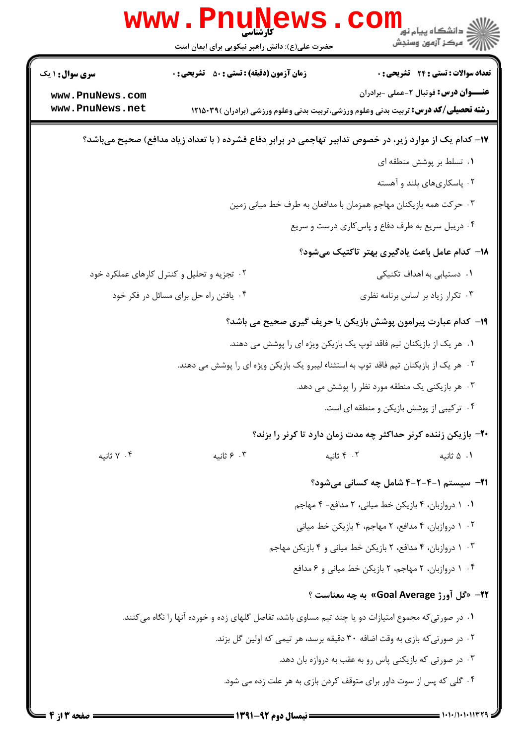|                                    | <b>WWW . FILUIV</b><br>حضرت علی(ع): دانش راهبر نیکویی برای ایمان است                                    | د دانشڪاه پيام نور<br>7- مرڪز آزمون وسنجش                                                                                                   |  |  |  |
|------------------------------------|---------------------------------------------------------------------------------------------------------|---------------------------------------------------------------------------------------------------------------------------------------------|--|--|--|
| <b>سری سوال : ۱ یک</b>             | <b>زمان آزمون (دقیقه) : تستی : 50 ٪ تشریحی : 0</b>                                                      | <b>تعداد سوالات : تستی : 24 گشریحی : 0</b>                                                                                                  |  |  |  |
| www.PnuNews.com<br>www.PnuNews.net |                                                                                                         | <b>عنــــوان درس:</b> فوتبال ۲-عملی -برادران<br><b>رشته تحصیلی/کد درس:</b> تربیت بدنی وعلوم ورزشی،تربیت بدنی وعلوم ورزشی (برادران )۳۹۵۰۳۹ ا |  |  |  |
|                                    | ۱۷– کدام یک از موارد زیر، در خصوص تدابیر تهاجمی در برابر دفاع فشرده ( با تعداد زیاد مدافع) صحیح میباشد؟ |                                                                                                                                             |  |  |  |
|                                    |                                                                                                         | ۰۱ تسلط بر پوشش منطقه ای                                                                                                                    |  |  |  |
|                                    |                                                                                                         | ۰۲ پاسکاریهای بلند و آهسته                                                                                                                  |  |  |  |
|                                    |                                                                                                         | ۰۳ حرکت همه بازیکنان مهاجم همزمان با مدافعان به طرف خط میانی زمین                                                                           |  |  |  |
|                                    |                                                                                                         | ۰۴ دریبل سریع به طرف دفاع و پاس کاری درست و سریع                                                                                            |  |  |  |
|                                    |                                                                                                         | 1۸– کدام عامل باعث یادگیری بهتر تاکتیک میشود؟                                                                                               |  |  |  |
|                                    | ۰۲ تجزیه و تحلیل و کنترل کارهای عملکرد خود                                                              | ۰۱ دستیابی به اهداف تکنیکی                                                                                                                  |  |  |  |
|                                    | ۰۴ یافتن راه حل برای مسائل در فکر خود                                                                   | ۰۳ تکرار زیاد بر اساس برنامه نظری                                                                                                           |  |  |  |
|                                    |                                                                                                         | ۱۹- کدام عبارت پیرامون پوشش بازیکن یا حریف گیری صحیح می باشد؟                                                                               |  |  |  |
|                                    |                                                                                                         | ۰۱ هر یک از بازیکنان تیم فاقد توپ یک بازیکن ویژه ای را پوشش می دهند.                                                                        |  |  |  |
|                                    | ۰۲ هر یک از بازیکنان تیم فاقد توپ به استثناء لیبرو یک بازیکن ویژه ای را پوشش می دهند.                   |                                                                                                                                             |  |  |  |
|                                    |                                                                                                         | ۰۳ هر بازیکنی یک منطقه مورد نظر را پوشش می دهد.                                                                                             |  |  |  |
|                                    |                                                                                                         | ۰۴ ترکیبی از پوشش بازیکن و منطقه ای است.                                                                                                    |  |  |  |
|                                    |                                                                                                         | +۲- بازیکن زننده کرنر حداکثر چه مدت زمان دارد تا کرنر را بزند؟                                                                              |  |  |  |
| ۰۴ ثانیه                           | ۰۳ ۶ ثانیه                                                                                              | ۰۲ ثانیه<br>۰۱ ۵ ثانيه                                                                                                                      |  |  |  |
|                                    |                                                                                                         | <b>۲۱</b> - سیستم ۱-۴-۲-۴ شامل چه کسانی میشود؟                                                                                              |  |  |  |
|                                    |                                                                                                         | ٠١ دروازبان، ۴ بازيكن خط مياني، ٢ مدافع- ۴ مهاجم                                                                                            |  |  |  |
|                                    |                                                                                                         | ۰۲ دروازبان، ۴ مدافع، ۲ مهاجم، ۴ بازیکن خط میانی                                                                                            |  |  |  |
|                                    |                                                                                                         | ۰۳ دروازبان، ۴ مدافع، ۲ بازیکن خط میانی و ۴ بازیکن مهاجم                                                                                    |  |  |  |
|                                    |                                                                                                         | ۰۴ دروازبان، ۲ مهاجم، ۲ بازیکن خط میانی و ۶ مدافع                                                                                           |  |  |  |
|                                    |                                                                                                         | ۳۲- «گل آورژ Goal Average» به چه معناست ؟                                                                                                   |  |  |  |
|                                    | ۱. در صورتیکه مجموع امتیازات دو یا چند تیم مساوی باشد، تفاصل گلهای زده و خورده آنها را نگاه میکنند.     |                                                                                                                                             |  |  |  |
|                                    |                                                                                                         | ۰۲ در صورتی که بازی به وقت اضافه ۳۰ دقیقه برسد، هر تیمی که اولین گل بزند.                                                                   |  |  |  |
|                                    |                                                                                                         | ۰۳ در صورتی که بازیکنی پاس رو به عقب به دروازه بان دهد.                                                                                     |  |  |  |
|                                    |                                                                                                         | ۰۴ گلی که پس از سوت داور برای متوقف کردن بازی به هر علت زده می شود.                                                                         |  |  |  |
|                                    |                                                                                                         |                                                                                                                                             |  |  |  |